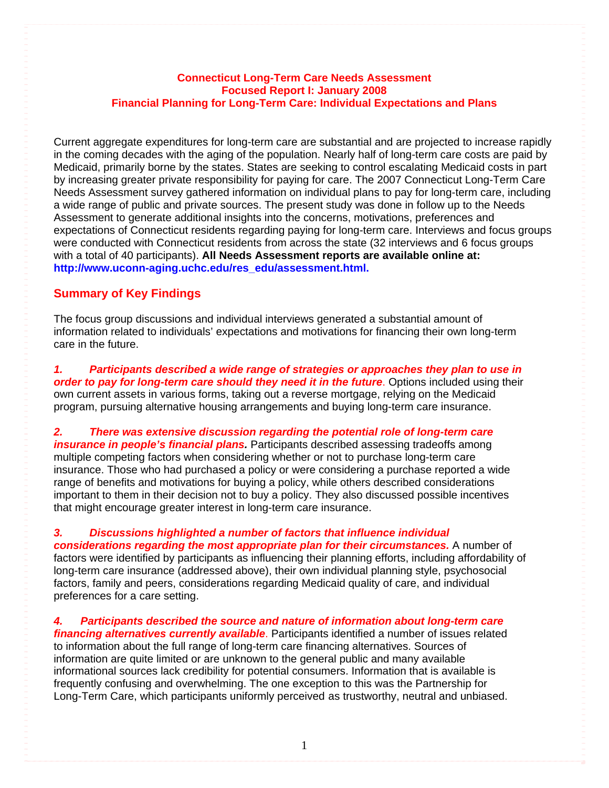# **Connecticut Long-Term Care Needs Assessment Focused Report I: January 2008 Financial Planning for Long-Term Care: Individual Expectations and Plans**

Current aggregate expenditures for long-term care are substantial and are projected to increase rapidly in the coming decades with the aging of the population. Nearly half of long-term care costs are paid by Medicaid, primarily borne by the states. States are seeking to control escalating Medicaid costs in part by increasing greater private responsibility for paying for care. The 2007 Connecticut Long-Term Care Needs Assessment survey gathered information on individual plans to pay for long-term care, including a wide range of public and private sources. The present study was done in follow up to the Needs Assessment to generate additional insights into the concerns, motivations, preferences and expectations of Connecticut residents regarding paying for long-term care. Interviews and focus groups were conducted with Connecticut residents from across the state (32 interviews and 6 focus groups with a total of 40 participants). **All Needs Assessment reports are available online at: [http://www.uconn-aging.uchc.edu/res\\_edu/assessment.html](http://www.uconn-aging.uchc.edu/res_edu/assessment.html).**

# **Summary of Key Findings**

The focus group discussions and individual interviews generated a substantial amount of information related to individuals' expectations and motivations for financing their own long-term care in the future.

*1. Participants described a wide range of strategies or approaches they plan to use in order to pay for long-term care should they need it in the future***. Options included using their** own current assets in various forms, taking out a reverse mortgage, relying on the Medicaid program, pursuing alternative housing arrangements and buying long-term care insurance.

*2. There was extensive discussion regarding the potential role of long-term care insurance in people's financial plans.* Participants described assessing tradeoffs among multiple competing factors when considering whether or not to purchase long-term care insurance. Those who had purchased a policy or were considering a purchase reported a wide range of benefits and motivations for buying a policy, while others described considerations important to them in their decision not to buy a policy. They also discussed possible incentives that might encourage greater interest in long-term care insurance.

# *3. Discussions highlighted a number of factors that influence individual considerations regarding the most appropriate plan for their circumstances.* A number of factors were identified by participants as influencing their planning efforts, including affordability of

long-term care insurance (addressed above), their own individual planning style, psychosocial factors, family and peers, considerations regarding Medicaid quality of care, and individual preferences for a care setting.

# *4. Participants described the source and nature of information about long-term care financing alternatives currently available*. Participants identified a number of issues related

to information about the full range of long-term care financing alternatives. Sources of information are quite limited or are unknown to the general public and many available informational sources lack credibility for potential consumers. Information that is available is frequently confusing and overwhelming. The one exception to this was the Partnership for Long-Term Care, which participants uniformly perceived as trustworthy, neutral and unbiased.

1